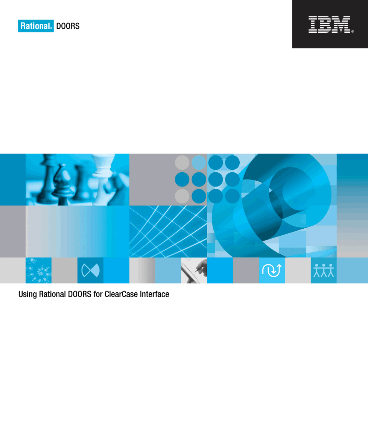





**Using Rational DOORS for ClearCase Interface**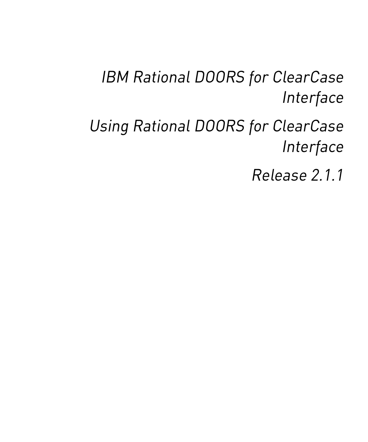*IBM Rational DOORS for ClearCase Interface*

*Using Rational DOORS for ClearCase Interface*

*Release 2.1.1*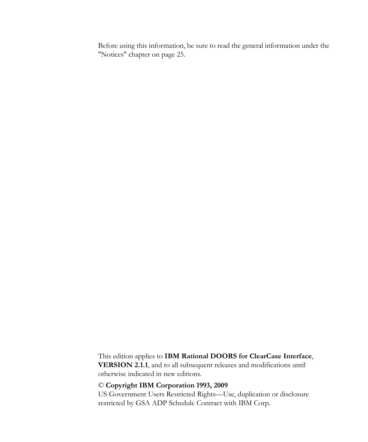Before using this information, be sure to read the general information under the ["Notices" chapter on page 25.](#page-30-0)

This edition applies to **IBM Rational DOORS for ClearCase Interface**, **VERSION 2.1.1**, and to all subsequent releases and modifications until otherwise indicated in new editions.

#### © **Copyright IBM Corporation 1993, 2009**

US Government Users Restricted Rights—Use, duplication or disclosure restricted by GSA ADP Schedule Contract with IBM Corp.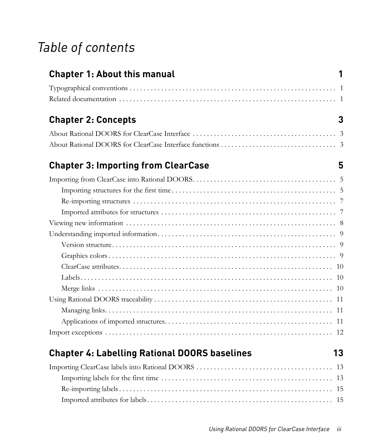## *Table of contents*

| <b>Chapter 1: About this manual</b>                  | 1  |
|------------------------------------------------------|----|
|                                                      |    |
|                                                      |    |
| <b>Chapter 2: Concepts</b>                           | 3  |
|                                                      |    |
|                                                      |    |
| <b>Chapter 3: Importing from ClearCase</b>           | 5  |
|                                                      |    |
|                                                      |    |
|                                                      |    |
|                                                      |    |
|                                                      |    |
|                                                      |    |
|                                                      |    |
|                                                      |    |
|                                                      |    |
|                                                      |    |
|                                                      |    |
|                                                      |    |
|                                                      |    |
|                                                      |    |
|                                                      |    |
| <b>Chapter 4: Labelling Rational DOORS baselines</b> | 13 |
|                                                      |    |
|                                                      |    |
|                                                      |    |
|                                                      |    |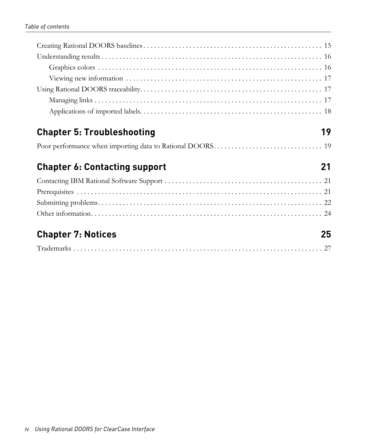| <b>Chapter 5: Troubleshooting</b><br>19    |
|--------------------------------------------|
|                                            |
| 21<br><b>Chapter 6: Contacting support</b> |
|                                            |
|                                            |
|                                            |
|                                            |
| <b>Chapter 7: Notices</b><br>25            |
|                                            |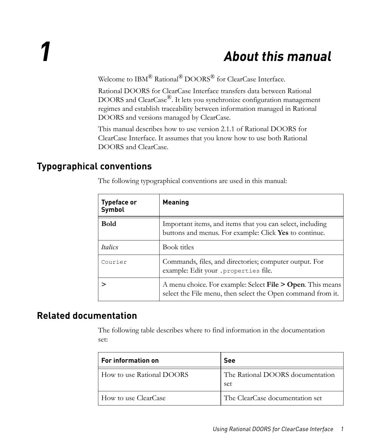## *1 About this manual*

<span id="page-6-0"></span>Welcome to  $\text{IBM}^{\circledR}$  Rational<sup>®</sup> DOORS<sup>®</sup> for ClearCase Interface.

Rational DOORS for ClearCase Interface transfers data between Rational DOORS and ClearCase®. It lets you synchronize configuration management regimes and establish traceability between information managed in Rational DOORS and versions managed by ClearCase.

This manual describes how to use version 2.1.1 of Rational DOORS for ClearCase Interface. It assumes that you know how to use both Rational DOORS and ClearCase.

#### <span id="page-6-1"></span>**Typographical conventions**

The following typographical conventions are used in this manual:

| <b>Typeface or</b><br>Symbol | <b>Meaning</b>                                                                                                            |
|------------------------------|---------------------------------------------------------------------------------------------------------------------------|
| <b>Bold</b>                  | Important items, and items that you can select, including<br>buttons and menus. For example: Click Yes to continue.       |
| <i>Italics</i>               | Book titles                                                                                                               |
| Courier                      | Commands, files, and directories; computer output. For<br>example: Edit your . properties file.                           |
|                              | A menu choice. For example: Select File > Open. This means<br>select the File menu, then select the Open command from it. |

#### <span id="page-6-2"></span>**Related documentation**

The following table describes where to find information in the documentation set:

| For information on        | See                                     |
|---------------------------|-----------------------------------------|
| How to use Rational DOORS | The Rational DOORS documentation<br>set |
| How to use ClearCase      | The ClearCase documentation set         |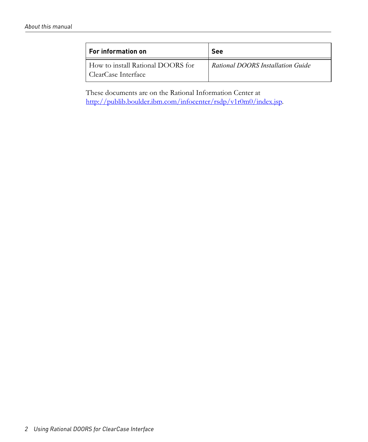| l For information on                                     | See                               |
|----------------------------------------------------------|-----------------------------------|
| How to install Rational DOORS for<br>ClearCase Interface | Rational DOORS Installation Guide |

These documents are on the Rational Information Center at http://publib.boulder.ibm.com/infocenter/rsdp/v1r0m0/index.jsp.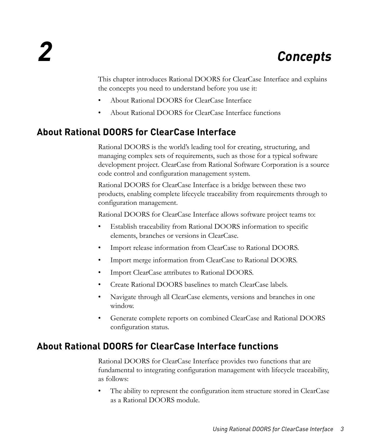# <span id="page-8-0"></span>*2 Concepts*

This chapter introduces Rational DOORS for ClearCase Interface and explains the concepts you need to understand before you use it:

- [About Rational DOORS for ClearCase Interface](#page-8-1)
- [About Rational DOORS for ClearCase Interface functions](#page-8-2)

### <span id="page-8-4"></span><span id="page-8-1"></span>**About Rational DOORS for ClearCase Interface**

Rational DOORS is the world's leading tool for creating, structuring, and managing complex sets of requirements, such as those for a typical software development project. ClearCase from Rational Software Corporation is a source code control and configuration management system.

Rational DOORS for ClearCase Interface is a bridge between these two products, enabling complete lifecycle traceability from requirements through to configuration management.

Rational DOORS for ClearCase Interface allows software project teams to:

- Establish traceability from Rational DOORS information to specific elements, branches or versions in ClearCase.
- Import release information from ClearCase to Rational DOORS.
- Import merge information from ClearCase to Rational DOORS.
- Import ClearCase attributes to Rational DOORS.
- Create Rational DOORS baselines to match ClearCase labels.
- Navigate through all ClearCase elements, versions and branches in one window.
- Generate complete reports on combined ClearCase and Rational DOORS configuration status.

#### <span id="page-8-3"></span><span id="page-8-2"></span>**About Rational DOORS for ClearCase Interface functions**

Rational DOORS for ClearCase Interface provides two functions that are fundamental to integrating configuration management with lifecycle traceability, as follows:

• The ability to represent the configuration item structure stored in ClearCase as a Rational DOORS module.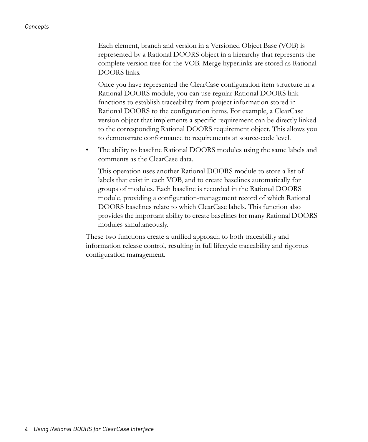<span id="page-9-0"></span>Each element, branch and version in a Versioned Object Base (VOB) is represented by a Rational DOORS object in a hierarchy that represents the complete version tree for the VOB. Merge hyperlinks are stored as Rational DOORS links.

Once you have represented the ClearCase configuration item structure in a Rational DOORS module, you can use regular Rational DOORS link functions to establish traceability from project information stored in Rational DOORS to the configuration items. For example, a ClearCase version object that implements a specific requirement can be directly linked to the corresponding Rational DOORS requirement object. This allows you to demonstrate conformance to requirements at source-code level.

• The ability to baseline Rational DOORS modules using the same labels and comments as the ClearCase data.

This operation uses another Rational DOORS module to store a list of labels that exist in each VOB, and to create baselines automatically for groups of modules. Each baseline is recorded in the Rational DOORS module, providing a configuration-management record of which Rational DOORS baselines relate to which ClearCase labels. This function also provides the important ability to create baselines for many Rational DOORS modules simultaneously.

These two functions create a unified approach to both traceability and information release control, resulting in full lifecycle traceability and rigorous configuration management.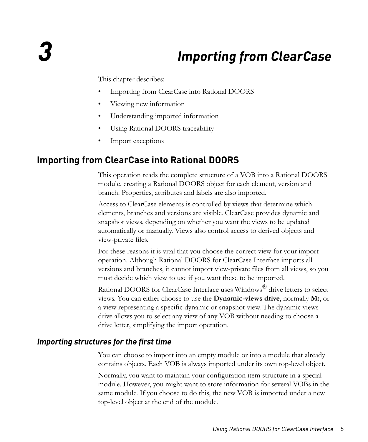## *3 Importing from ClearCase*

<span id="page-10-0"></span>This chapter describes:

- [Importing from ClearCase into Rational DOORS](#page-10-1)
- [Viewing new information](#page-13-0)
- [Understanding imported information](#page-14-0)
- [Using Rational DOORS traceability](#page-16-0)
- [Import exceptions](#page-17-0)

#### <span id="page-10-4"></span><span id="page-10-1"></span>**Importing from ClearCase into Rational DOORS**

This operation reads the complete structure of a VOB into a Rational DOORS module, creating a Rational DOORS object for each element, version and branch. Properties, attributes and labels are also imported.

Access to ClearCase elements is controlled by views that determine which elements, branches and versions are visible. ClearCase provides dynamic and snapshot views, depending on whether you want the views to be updated automatically or manually. Views also control access to derived objects and view-private files.

For these reasons it is vital that you choose the correct view for your import operation. Although Rational DOORS for ClearCase Interface imports all versions and branches, it cannot import view-private files from all views, so you must decide which view to use if you want these to be imported.

Rational DOORS for ClearCase Interface uses Windows® drive letters to select views. You can either choose to use the **Dynamic-views drive**, normally **M:**, or a view representing a specific dynamic or snapshot view. The dynamic views drive allows you to select any view of any VOB without needing to choose a drive letter, simplifying the import operation.

#### <span id="page-10-3"></span><span id="page-10-2"></span>*Importing structures for the first time*

You can choose to import into an empty module or into a module that already contains objects. Each VOB is always imported under its own top-level object.

Normally, you want to maintain your configuration item structure in a special module. However, you might want to store information for several VOBs in the same module. If you choose to do this, the new VOB is imported under a new top-level object at the end of the module.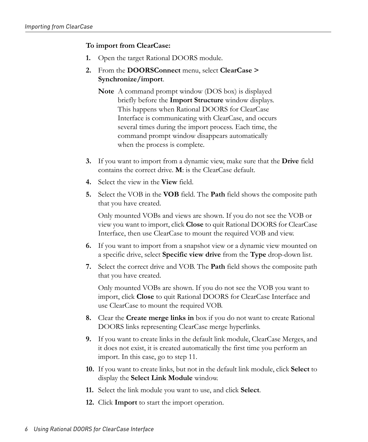#### **To import from ClearCase:**

- **1.** Open the target Rational DOORS module.
- **2.** From the **DOORSConnect** menu, select **ClearCase > Synchronize/import**.
	- **Note** A command prompt window (DOS box) is displayed briefly before the **Import Structure** window displays. This happens when Rational DOORS for ClearCase Interface is communicating with ClearCase, and occurs several times during the import process. Each time, the command prompt window disappears automatically when the process is complete.
- **3.** If you want to import from a dynamic view, make sure that the **Drive** field contains the correct drive. **M**: is the ClearCase default.
- **4.** Select the view in the **View** field.
- **5.** Select the VOB in the **VOB** field. The **Path** field shows the composite path that you have created.

Only mounted VOBs and views are shown. If you do not see the VOB or view you want to import, click **Close** to quit Rational DOORS for ClearCase Interface, then use ClearCase to mount the required VOB and view.

- **6.** If you want to import from a snapshot view or a dynamic view mounted on a specific drive, select **Specific view drive** from the **Type** drop-down list.
- **7.** Select the correct drive and VOB. The **Path** field shows the composite path that you have created.

Only mounted VOBs are shown. If you do not see the VOB you want to import, click **Close** to quit Rational DOORS for ClearCase Interface and use ClearCase to mount the required VOB.

- **8.** Clear the **Create merge links in** box if you do not want to create Rational DOORS links representing ClearCase merge hyperlinks.
- **9.** If you want to create links in the default link module, ClearCase Merges, and it does not exist, it is created automatically the first time you perform an import. In this case, go to step 11.
- **10.** If you want to create links, but not in the default link module, click **Select** to display the **Select Link Module** window.
- **11.** Select the link module you want to use, and click **Select**.
- **12.** Click **Import** to start the import operation.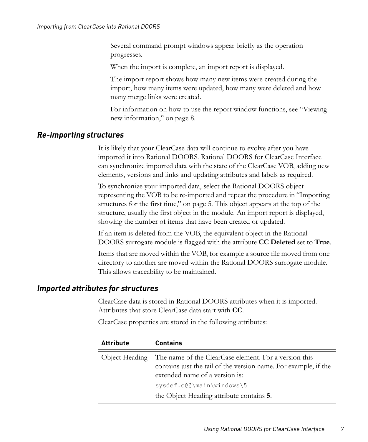Several command prompt windows appear briefly as the operation progresses.

When the import is complete, an import report is displayed.

The import report shows how many new items were created during the import, how many items were updated, how many were deleted and how many merge links were created.

For information on how to use the report window functions, see ["Viewing](#page-13-0)  [new information," on page 8.](#page-13-0)

#### <span id="page-12-3"></span><span id="page-12-0"></span>*Re-importing structures*

It is likely that your ClearCase data will continue to evolve after you have imported it into Rational DOORS. Rational DOORS for ClearCase Interface can synchronize imported data with the state of the ClearCase VOB, adding new elements, versions and links and updating attributes and labels as required.

To synchronize your imported data, select the Rational DOORS object representing the VOB to be re-imported and repeat the procedure in ["Importing](#page-10-2)  [structures for the first time," on page 5](#page-10-2). This object appears at the top of the structure, usually the first object in the module. An import report is displayed, showing the number of items that have been created or updated.

If an item is deleted from the VOB, the equivalent object in the Rational DOORS surrogate module is flagged with the attribute **CC Deleted** set to **True**.

Items that are moved within the VOB, for example a source file moved from one directory to another are moved within the Rational DOORS surrogate module. This allows traceability to be maintained.

#### <span id="page-12-2"></span><span id="page-12-1"></span>*Imported attributes for structures*

ClearCase data is stored in Rational DOORS attributes when it is imported. Attributes that store ClearCase data start with **CC**.

| <b>Attribute</b> | <b>Contains</b>                                                                                                                                                                                                                     |
|------------------|-------------------------------------------------------------------------------------------------------------------------------------------------------------------------------------------------------------------------------------|
| Object Heading   | The name of the ClearCase element. For a version this<br>contains just the tail of the version name. For example, if the<br>extended name of a version is:<br>sysdef.c@@\main\windows\5<br>the Object Heading attribute contains 5. |

ClearCase properties are stored in the following attributes: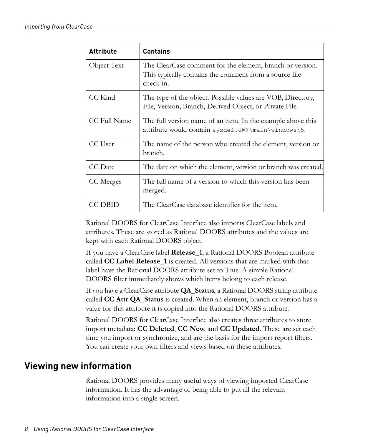| <b>Attribute</b> | <b>Contains</b>                                                                                                                   |
|------------------|-----------------------------------------------------------------------------------------------------------------------------------|
| Object Text      | The ClearCase comment for the element, branch or version.<br>This typically contains the comment from a source file.<br>check-in. |
| CC Kind          | The type of the object. Possible values are VOB, Directory,<br>File, Version, Branch, Derived Object, or Private File.            |
| CC Full Name     | The full version name of an item. In the example above this<br>attribute would contain sysdef.c@@\main\windows\5.                 |
| CC User          | The name of the person who created the element, version or<br>branch.                                                             |
| CC Date          | The date on which the element, version or branch was created.                                                                     |
| CC Merges        | The full name of a version to which this version has been<br>merged.                                                              |
| CC DBID          | The ClearCase database identifier for the item.                                                                                   |

Rational DOORS for ClearCase Interface also imports ClearCase labels and attributes. These are stored as Rational DOORS attributes and the values are kept with each Rational DOORS object.

If you have a ClearCase label **Release\_1**, a Rational DOORS Boolean attribute called **CC Label Release\_1** is created. All versions that are marked with that label have the Rational DOORS attribute set to True. A simple Rational DOORS filter immediately shows which items belong to each release.

If you have a ClearCase attribute **QA\_Status**, a Rational DOORS string attribute called **CC Attr QA\_Status** is created. When an element, branch or version has a value for this attribute it is copied into the Rational DOORS attribute.

Rational DOORS for ClearCase Interface also creates three attributes to store import metadata: **CC Deleted**, **CC New**, and **CC Updated**. These are set each time you import or synchronize, and are the basis for the import report filters. You can create your own filters and views based on these attributes.

#### <span id="page-13-1"></span><span id="page-13-0"></span>**Viewing new information**

Rational DOORS provides many useful ways of viewing imported ClearCase information. It has the advantage of being able to put all the relevant information into a single screen.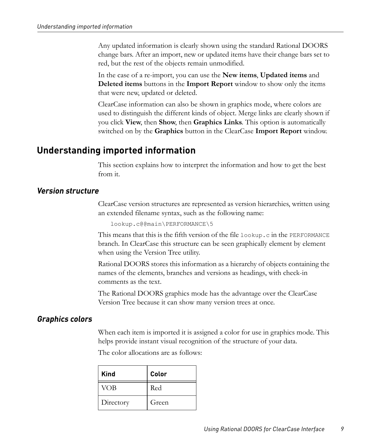Any updated information is clearly shown using the standard Rational DOORS change bars. After an import, new or updated items have their change bars set to red, but the rest of the objects remain unmodified.

In the case of a re-import, you can use the **New items**, **Updated items** and **Deleted items** buttons in the **Import Report** window to show only the items that were new, updated or deleted.

ClearCase information can also be shown in graphics mode, where colors are used to distinguish the different kinds of object. Merge links are clearly shown if you click **View**, then **Show**, then **Graphics Links**. This option is automatically switched on by the **Graphics** button in the ClearCase **Import Report** window.

#### <span id="page-14-4"></span><span id="page-14-0"></span>**Understanding imported information**

This section explains how to interpret the information and how to get the best from it.

#### <span id="page-14-5"></span><span id="page-14-1"></span>*Version structure*

ClearCase version structures are represented as version hierarchies, written using an extended filename syntax, such as the following name:

lookup.c@@main\PERFORMANCE\5

This means that this is the fifth version of the file lookup.c in the PERFORMANCE branch. In ClearCase this structure can be seen graphically element by element when using the Version Tree utility.

Rational DOORS stores this information as a hierarchy of objects containing the names of the elements, branches and versions as headings, with check-in comments as the text.

The Rational DOORS graphics mode has the advantage over the ClearCase Version Tree because it can show many version trees at once.

#### <span id="page-14-3"></span><span id="page-14-2"></span>*Graphics colors*

When each item is imported it is assigned a color for use in graphics mode. This helps provide instant visual recognition of the structure of your data.

The color allocations are as follows:

| Kind       | Color |
|------------|-------|
| <b>VOB</b> | Red   |
| Directory  | Green |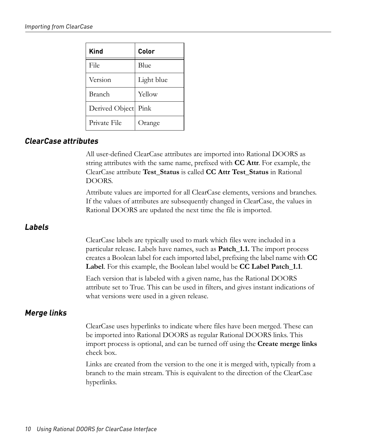| Kind                | Color      |
|---------------------|------------|
| File                | Blue       |
| Version             | Light blue |
| Branch              | Yellow     |
| Derived Object Pink |            |
| Private File        | Orange     |

#### <span id="page-15-3"></span><span id="page-15-0"></span>*ClearCase attributes*

All user-defined ClearCase attributes are imported into Rational DOORS as string attributes with the same name, prefixed with **CC Attr**. For example, the ClearCase attribute **Test\_Status** is called **CC Attr Test\_Status** in Rational DOORS.

Attribute values are imported for all ClearCase elements, versions and branches. If the values of attributes are subsequently changed in ClearCase, the values in Rational DOORS are updated the next time the file is imported.

#### <span id="page-15-4"></span><span id="page-15-1"></span>*Labels*

ClearCase labels are typically used to mark which files were included in a particular release. Labels have names, such as **Patch\_1.1.** The import process creates a Boolean label for each imported label, prefixing the label name with **CC Label**. For this example, the Boolean label would be **CC Label Patch\_1.1**.

Each version that is labeled with a given name, has the Rational DOORS attribute set to True. This can be used in filters, and gives instant indications of what versions were used in a given release.

#### <span id="page-15-5"></span><span id="page-15-2"></span>*Merge links*

ClearCase uses hyperlinks to indicate where files have been merged. These can be imported into Rational DOORS as regular Rational DOORS links. This import process is optional, and can be turned off using the **Create merge links** check box.

Links are created from the version to the one it is merged with, typically from a branch to the main stream. This is equivalent to the direction of the ClearCase hyperlinks.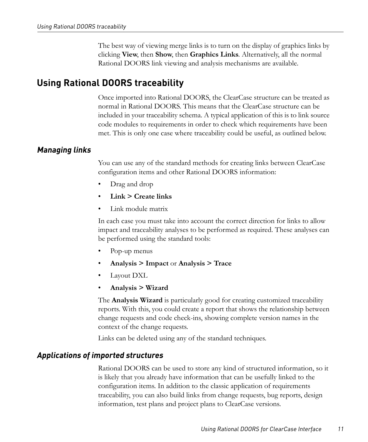The best way of viewing merge links is to turn on the display of graphics links by clicking **View**, then **Show**, then **Graphics Links**. Alternatively, all the normal Rational DOORS link viewing and analysis mechanisms are available.

#### <span id="page-16-4"></span><span id="page-16-0"></span>**Using Rational DOORS traceability**

Once imported into Rational DOORS, the ClearCase structure can be treated as normal in Rational DOORS. This means that the ClearCase structure can be included in your traceability schema. A typical application of this is to link source code modules to requirements in order to check which requirements have been met. This is only one case where traceability could be useful, as outlined below.

#### <span id="page-16-3"></span><span id="page-16-1"></span>*Managing links*

You can use any of the standard methods for creating links between ClearCase configuration items and other Rational DOORS information:

- Drag and drop
- **Link > Create links**
- Link module matrix

In each case you must take into account the correct direction for links to allow impact and traceability analyses to be performed as required. These analyses can be performed using the standard tools:

- Pop-up menus
- **Analysis > Impact** or **Analysis > Trace**
- Layout DXL
- **Analysis > Wizard**

The **Analysis Wizard** is particularly good for creating customized traceability reports. With this, you could create a report that shows the relationship between change requests and code check-ins, showing complete version names in the context of the change requests.

Links can be deleted using any of the standard techniques.

#### <span id="page-16-2"></span>*Applications of imported structures*

Rational DOORS can be used to store any kind of structured information, so it is likely that you already have information that can be usefully linked to the configuration items. In addition to the classic application of requirements traceability, you can also build links from change requests, bug reports, design information, test plans and project plans to ClearCase versions.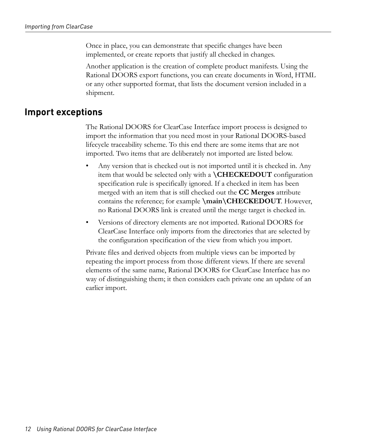Once in place, you can demonstrate that specific changes have been implemented, or create reports that justify all checked in changes.

Another application is the creation of complete product manifests. Using the Rational DOORS export functions, you can create documents in Word, HTML or any other supported format, that lists the document version included in a shipment.

#### <span id="page-17-1"></span><span id="page-17-0"></span>**Import exceptions**

The Rational DOORS for ClearCase Interface import process is designed to import the information that you need most in your Rational DOORS-based lifecycle traceability scheme. To this end there are some items that are not imported. Two items that are deliberately not imported are listed below.

- Any version that is checked out is not imported until it is checked in. Any item that would be selected only with a **\CHECKEDOUT** configuration specification rule is specifically ignored. If a checked in item has been merged with an item that is still checked out the **CC Merges** attribute contains the reference; for example **\main\CHECKEDOUT**. However, no Rational DOORS link is created until the merge target is checked in.
- Versions of directory elements are not imported. Rational DOORS for ClearCase Interface only imports from the directories that are selected by the configuration specification of the view from which you import.

Private files and derived objects from multiple views can be imported by repeating the import process from those different views. If there are several elements of the same name, Rational DOORS for ClearCase Interface has no way of distinguishing them; it then considers each private one an update of an earlier import.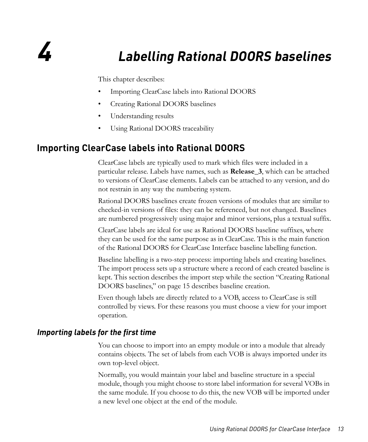## <span id="page-18-0"></span>*4 Labelling Rational DOORS baselines*

This chapter describes:

- [Importing ClearCase labels into Rational DOORS](#page-18-1)
- [Creating Rational DOORS baselines](#page-20-2)
- [Understanding results](#page-21-0)
- [Using Rational DOORS traceability](#page-22-1)

#### <span id="page-18-3"></span><span id="page-18-1"></span>**Importing ClearCase labels into Rational DOORS**

ClearCase labels are typically used to mark which files were included in a particular release. Labels have names, such as **Release\_3**, which can be attached to versions of ClearCase elements. Labels can be attached to any version, and do not restrain in any way the numbering system.

Rational DOORS baselines create frozen versions of modules that are similar to checked-in versions of files: they can be referenced, but not changed. Baselines are numbered progressively using major and minor versions, plus a textual suffix.

ClearCase labels are ideal for use as Rational DOORS baseline suffixes, where they can be used for the same purpose as in ClearCase. This is the main function of the Rational DOORS for ClearCase Interface baseline labelling function.

Baseline labelling is a two-step process: importing labels and creating baselines. The import process sets up a structure where a record of each created baseline is kept. This section describes the import step while the section ["Creating Rational](#page-20-2)  [DOORS baselines," on page 15](#page-20-2) describes baseline creation.

Even though labels are directly related to a VOB, access to ClearCase is still controlled by views. For these reasons you must choose a view for your import operation.

#### <span id="page-18-4"></span><span id="page-18-2"></span>*Importing labels for the first time*

You can choose to import into an empty module or into a module that already contains objects. The set of labels from each VOB is always imported under its own top-level object.

Normally, you would maintain your label and baseline structure in a special module, though you might choose to store label information for several VOBs in the same module. If you choose to do this, the new VOB will be imported under a new level one object at the end of the module.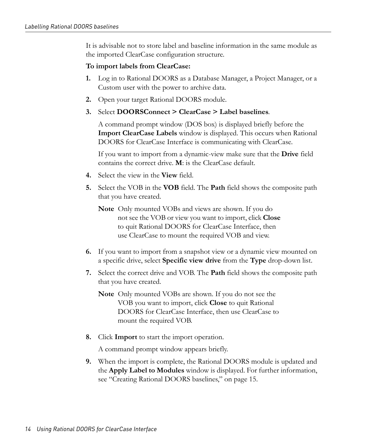It is advisable not to store label and baseline information in the same module as the imported ClearCase configuration structure.

#### **To import labels from ClearCase:**

- **1.** Log in to Rational DOORS as a Database Manager, a Project Manager, or a Custom user with the power to archive data.
- **2.** Open your target Rational DOORS module.
- **3.** Select **DOORSConnect > ClearCase > Label baselines**.

A command prompt window (DOS box) is displayed briefly before the **Import ClearCase Labels** window is displayed. This occurs when Rational DOORS for ClearCase Interface is communicating with ClearCase.

If you want to import from a dynamic-view make sure that the **Drive** field contains the correct drive. **M**: is the ClearCase default.

- **4.** Select the view in the **View** field.
- **5.** Select the VOB in the **VOB** field. The **Path** field shows the composite path that you have created.
	- **Note** Only mounted VOBs and views are shown. If you do not see the VOB or view you want to import, click **Close** to quit Rational DOORS for ClearCase Interface, then use ClearCase to mount the required VOB and view.
- **6.** If you want to import from a snapshot view or a dynamic view mounted on a specific drive, select **Specific view drive** from the **Type** drop-down list.
- **7.** Select the correct drive and VOB. The **Path** field shows the composite path that you have created.
	- **Note** Only mounted VOBs are shown. If you do not see the VOB you want to import, click **Close** to quit Rational DOORS for ClearCase Interface, then use ClearCase to mount the required VOB.
- **8.** Click **Import** to start the import operation.

A command prompt window appears briefly.

**9.** When the import is complete, the Rational DOORS module is updated and the **Apply Label to Modules** window is displayed. For further information, see ["Creating Rational DOORS baselines," on page 15.](#page-20-2)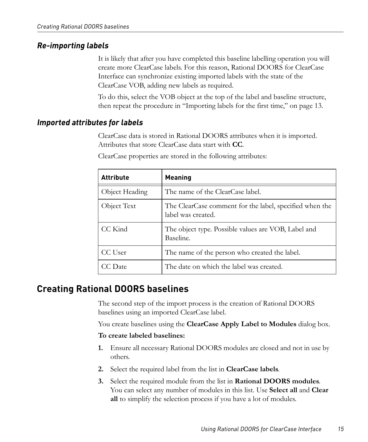#### <span id="page-20-5"></span><span id="page-20-0"></span>*Re-importing labels*

It is likely that after you have completed this baseline labelling operation you will create more ClearCase labels. For this reason, Rational DOORS for ClearCase Interface can synchronize existing imported labels with the state of the ClearCase VOB, adding new labels as required.

To do this, select the VOB object at the top of the label and baseline structure, then repeat the procedure in ["Importing labels for the first time," on page 13.](#page-18-2)

#### <span id="page-20-3"></span><span id="page-20-1"></span>*Imported attributes for labels*

ClearCase data is stored in Rational DOORS attributes when it is imported. Attributes that store ClearCase data start with **CC**.

| <b>Attribute</b> | <b>Meaning</b>                                                                |
|------------------|-------------------------------------------------------------------------------|
| Object Heading   | The name of the ClearCase label.                                              |
| Object Text      | The ClearCase comment for the label, specified when the<br>label was created. |
| CC Kind          | The object type. Possible values are VOB, Label and<br>Baseline.              |
| CC User          | The name of the person who created the label.                                 |
| CC Date          | The date on which the label was created.                                      |

ClearCase properties are stored in the following attributes:

#### <span id="page-20-4"></span><span id="page-20-2"></span>**Creating Rational DOORS baselines**

The second step of the import process is the creation of Rational DOORS baselines using an imported ClearCase label.

You create baselines using the **ClearCase Apply Label to Modules** dialog box.

#### **To create labeled baselines:**

- **1.** Ensure all necessary Rational DOORS modules are closed and not in use by others.
- **2.** Select the required label from the list in **ClearCase labels**.
- **3.** Select the required module from the list in **Rational DOORS modules**. You can select any number of modules in this list. Use **Select all** and **Clear all** to simplify the selection process if you have a lot of modules.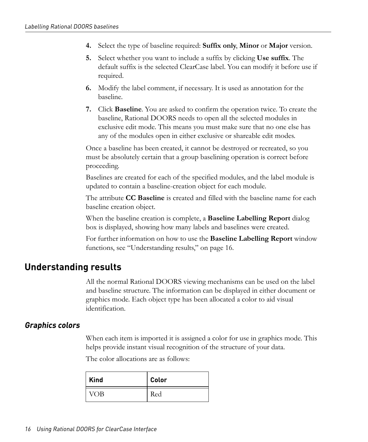- **4.** Select the type of baseline required: **Suffix only**, **Minor** or **Major** version.
- **5.** Select whether you want to include a suffix by clicking **Use suffix**. The default suffix is the selected ClearCase label. You can modify it before use if required.
- **6.** Modify the label comment, if necessary. It is used as annotation for the baseline.
- **7.** Click **Baseline**. You are asked to confirm the operation twice. To create the baseline, Rational DOORS needs to open all the selected modules in exclusive edit mode. This means you must make sure that no one else has any of the modules open in either exclusive or shareable edit modes.

Once a baseline has been created, it cannot be destroyed or recreated, so you must be absolutely certain that a group baselining operation is correct before proceeding.

Baselines are created for each of the specified modules, and the label module is updated to contain a baseline-creation object for each module.

The attribute **CC Baseline** is created and filled with the baseline name for each baseline creation object.

When the baseline creation is complete, a **Baseline Labelling Report** dialog box is displayed, showing how many labels and baselines were created.

For further information on how to use the **Baseline Labelling Report** window functions, see ["Understanding results," on page 16.](#page-21-0)

#### <span id="page-21-2"></span><span id="page-21-0"></span>**Understanding results**

All the normal Rational DOORS viewing mechanisms can be used on the label and baseline structure. The information can be displayed in either document or graphics mode. Each object type has been allocated a color to aid visual identification.

#### <span id="page-21-3"></span><span id="page-21-1"></span>*Graphics colors*

When each item is imported it is assigned a color for use in graphics mode. This helps provide instant visual recognition of the structure of your data.

**Kind Color** VOB Red

The color allocations are as follows: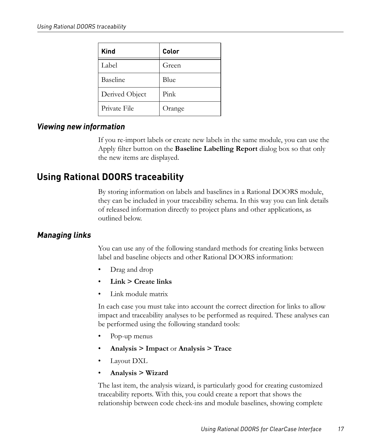| Kind           | Color  |
|----------------|--------|
| Label          | Green  |
| Baseline       | Blue   |
| Derived Object | Pink   |
| Private File   | Orange |

#### <span id="page-22-3"></span><span id="page-22-0"></span>*Viewing new information*

If you re-import labels or create new labels in the same module, you can use the Apply filter button on the **Baseline Labelling Report** dialog box so that only the new items are displayed.

#### <span id="page-22-5"></span><span id="page-22-1"></span>**Using Rational DOORS traceability**

By storing information on labels and baselines in a Rational DOORS module, they can be included in your traceability schema. In this way you can link details of released information directly to project plans and other applications, as outlined below.

#### <span id="page-22-4"></span><span id="page-22-2"></span>*Managing links*

You can use any of the following standard methods for creating links between label and baseline objects and other Rational DOORS information:

- Drag and drop
- **Link > Create links**
- Link module matrix

In each case you must take into account the correct direction for links to allow impact and traceability analyses to be performed as required. These analyses can be performed using the following standard tools:

- Pop-up menus
- **Analysis > Impact** or **Analysis > Trace**
- Layout DXL
- **Analysis > Wizard**

The last item, the analysis wizard, is particularly good for creating customized traceability reports. With this, you could create a report that shows the relationship between code check-ins and module baselines, showing complete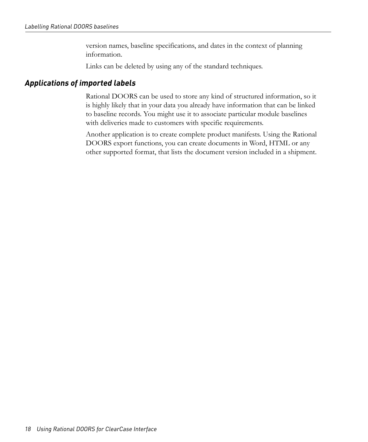version names, baseline specifications, and dates in the context of planning information.

Links can be deleted by using any of the standard techniques.

#### <span id="page-23-0"></span>*Applications of imported labels*

Rational DOORS can be used to store any kind of structured information, so it is highly likely that in your data you already have information that can be linked to baseline records. You might use it to associate particular module baselines with deliveries made to customers with specific requirements.

Another application is to create complete product manifests. Using the Rational DOORS export functions, you can create documents in Word, HTML or any other supported format, that lists the document version included in a shipment.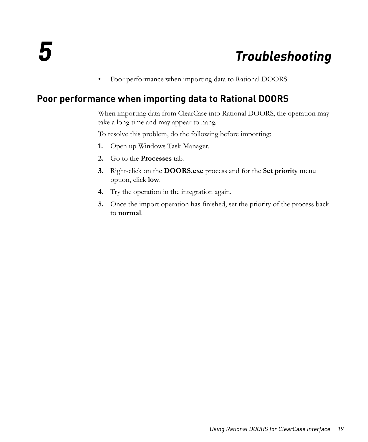## <span id="page-24-0"></span>*5 Troubleshooting*

• [Poor performance when importing data to Rational DOORS](#page-24-1)

### <span id="page-24-1"></span>**Poor performance when importing data to Rational DOORS**

When importing data from ClearCase into Rational DOORS, the operation may take a long time and may appear to hang.

To resolve this problem, do the following before importing:

- **1.** Open up Windows Task Manager.
- **2.** Go to the **Processes** tab.
- **3.** Right-click on the **DOORS.exe** process and for the **Set priority** menu option, click **low**.
- **4.** Try the operation in the integration again.
- **5.** Once the import operation has finished, set the priority of the process back to **normal**.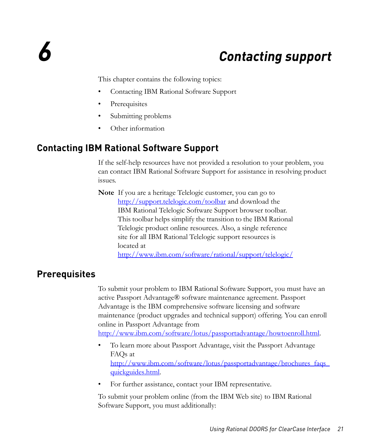## <span id="page-26-0"></span>*6 Contacting support*

This chapter contains the following topics:

- [Contacting IBM Rational Software Support](#page-26-1)
- **[Prerequisites](#page-26-2)**
- [Submitting problems](#page-27-0)
- <span id="page-26-3"></span>• [Other information](#page-29-0)

#### <span id="page-26-1"></span>**Contacting IBM Rational Software Support**

If the self-help resources have not provided a resolution to your problem, you can contact IBM Rational Software Support for assistance in resolving product issues.

**Note** If you are a heritage Telelogic customer, you can go to http://support.telelogic.com/toolbar and download the IBM Rational Telelogic Software Support browser toolbar. This toolbar helps simplify the transition to the IBM Rational Telelogic product online resources. Also, a single reference site for all IBM Rational Telelogic support resources is located at

http://www.ibm.com/software/rational/support/telelogic/

#### <span id="page-26-2"></span>**Prerequisites**

To submit your problem to IBM Rational Software Support, you must have an active Passport Advantage® software maintenance agreement. Passport Advantage is the IBM comprehensive software licensing and software maintenance (product upgrades and technical support) offering. You can enroll online in Passport Advantage from

http://www.ibm.com/software/lotus/passportadvantage/howtoenroll.html.

- To learn more about Passport Advantage, visit the Passport Advantage FAQs at http://www.ibm.com/software/lotus/passportadvantage/brochures\_faqs\_ quickguides.html.
- For further assistance, contact your IBM representative.

To submit your problem online (from the IBM Web site) to IBM Rational Software Support, you must additionally: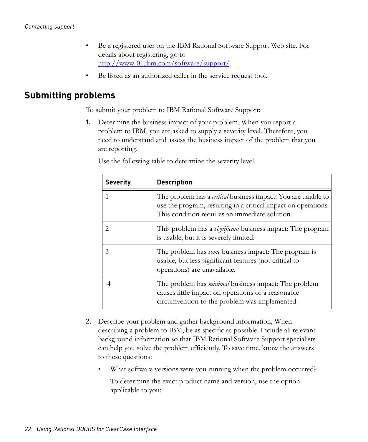- Be a registered user on the IBM Rational Software Support Web site. For details about registering, go to http://www-01.ibm.com/software/support/.
- Be listed as an authorized caller in the service request tool.

#### <span id="page-27-0"></span>**Submitting problems**

To submit your problem to IBM Rational Software Support:

**1.** Determine the business impact of your problem. When you report a problem to IBM, you are asked to supply a severity level. Therefore, you need to understand and assess the business impact of the problem that you are reporting.

Use the following table to determine the severity level.

| <b>Severity</b>             | <b>Description</b>                                                                                                                                                                       |
|-----------------------------|------------------------------------------------------------------------------------------------------------------------------------------------------------------------------------------|
| 1                           | The problem has a <i>critical</i> business impact: You are unable to<br>use the program, resulting in a critical impact on operations.<br>This condition requires an immediate solution. |
| $\mathcal{D}_{\mathcal{L}}$ | This problem has a <i>significant</i> business impact: The program<br>is usable, but it is severely limited.                                                                             |
| 3                           | The problem has <i>some</i> business impact: The program is<br>usable, but less significant features (not critical to<br>operations) are unavailable.                                    |
|                             | The problem has <i>minimal</i> business impact: The problem<br>causes little impact on operations or a reasonable<br>circumvention to the problem was implemented.                       |

- **2.** Describe your problem and gather background information, When describing a problem to IBM, be as specific as possible. Include all relevant background information so that IBM Rational Software Support specialists can help you solve the problem efficiently. To save time, know the answers to these questions:
	- What software versions were you running when the problem occurred?

To determine the exact product name and version, use the option applicable to you: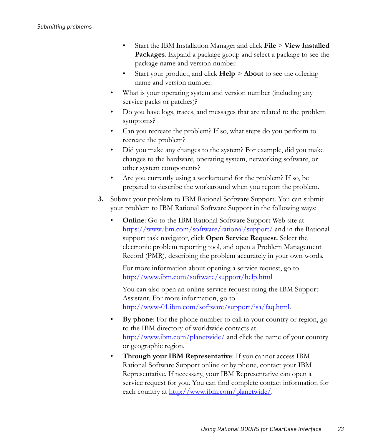- Start the IBM Installation Manager and click **File** > **View Installed Packages**. Expand a package group and select a package to see the package name and version number.
- Start your product, and click **Help** > **About** to see the offering name and version number.
- What is your operating system and version number (including any service packs or patches)?
- Do you have logs, traces, and messages that are related to the problem symptoms?
- Can you recreate the problem? If so, what steps do you perform to recreate the problem?
- Did you make any changes to the system? For example, did you make changes to the hardware, operating system, networking software, or other system components?
- Are you currently using a workaround for the problem? If so, be prepared to describe the workaround when you report the problem.
- **3.** Submit your problem to IBM Rational Software Support. You can submit your problem to IBM Rational Software Support in the following ways:
	- **Online**: Go to the IBM Rational Software Support Web site at https://www.ibm.com/software/rational/support/ and in the Rational support task navigator, click **Open Service Request.** Select the electronic problem reporting tool, and open a Problem Management Record (PMR), describing the problem accurately in your own words.

For more information about opening a service request, go to http://www.ibm.com/software/support/help.html

You can also open an online service request using the IBM Support Assistant. For more information, go to http://www-01.ibm.com/software/support/isa/faq.html.

- **By phone**: For the phone number to call in your country or region, go to the IBM directory of worldwide contacts at http://www.ibm.com/planetwide/ and click the name of your country or geographic region.
- **Through your IBM Representative:** If you cannot access IBM Rational Software Support online or by phone, contact your IBM Representative. If necessary, your IBM Representative can open a service request for you. You can find complete contact information for each country at http://www.ibm.com/planetwide/.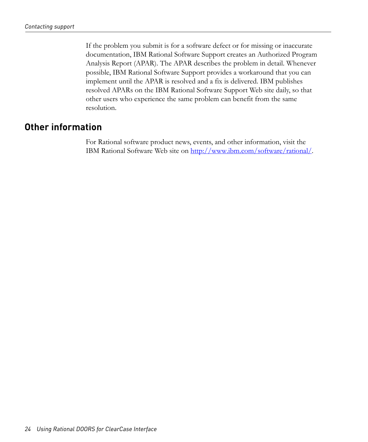If the problem you submit is for a software defect or for missing or inaccurate documentation, IBM Rational Software Support creates an Authorized Program Analysis Report (APAR). The APAR describes the problem in detail. Whenever possible, IBM Rational Software Support provides a workaround that you can implement until the APAR is resolved and a fix is delivered. IBM publishes resolved APARs on the IBM Rational Software Support Web site daily, so that other users who experience the same problem can benefit from the same resolution.

#### <span id="page-29-0"></span>**Other information**

For Rational software product news, events, and other information, visit the IBM Rational Software Web site on http://www.ibm.com/software/rational/.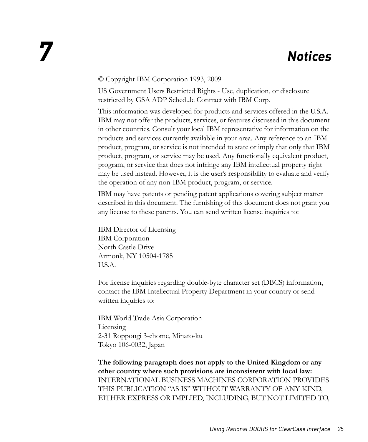<span id="page-30-1"></span><span id="page-30-0"></span>© Copyright IBM Corporation 1993, 2009

US Government Users Restricted Rights - Use, duplication, or disclosure restricted by GSA ADP Schedule Contract with IBM Corp.

This information was developed for products and services offered in the U.S.A. IBM may not offer the products, services, or features discussed in this document in other countries. Consult your local IBM representative for information on the products and services currently available in your area. Any reference to an IBM product, program, or service is not intended to state or imply that only that IBM product, program, or service may be used. Any functionally equivalent product, program, or service that does not infringe any IBM intellectual property right may be used instead. However, it is the user's responsibility to evaluate and verify the operation of any non-IBM product, program, or service.

IBM may have patents or pending patent applications covering subject matter described in this document. The furnishing of this document does not grant you any license to these patents. You can send written license inquiries to:

IBM Director of Licensing IBM Corporation North Castle Drive Armonk, NY 10504-1785 U.S.A.

For license inquiries regarding double-byte character set (DBCS) information, contact the IBM Intellectual Property Department in your country or send written inquiries to:

IBM World Trade Asia Corporation Licensing 2-31 Roppongi 3-chome, Minato-ku Tokyo 106-0032, Japan

**The following paragraph does not apply to the United Kingdom or any other country where such provisions are inconsistent with local law:** INTERNATIONAL BUSINESS MACHINES CORPORATION PROVIDES THIS PUBLICATION "AS IS" WITHOUT WARRANTY OF ANY KIND, EITHER EXPRESS OR IMPLIED, INCLUDING, BUT NOT LIMITED TO,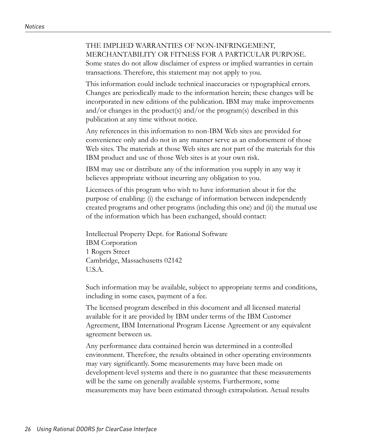#### THE IMPLIED WARRANTIES OF NON-INFRINGEMENT, MERCHANTABILITY OR FITNESS FOR A PARTICULAR PURPOSE.

Some states do not allow disclaimer of express or implied warranties in certain transactions. Therefore, this statement may not apply to you.

This information could include technical inaccuracies or typographical errors. Changes are periodically made to the information herein; these changes will be incorporated in new editions of the publication. IBM may make improvements and/or changes in the product(s) and/or the program(s) described in this publication at any time without notice.

Any references in this information to non-IBM Web sites are provided for convenience only and do not in any manner serve as an endorsement of those Web sites. The materials at those Web sites are not part of the materials for this IBM product and use of those Web sites is at your own risk.

IBM may use or distribute any of the information you supply in any way it believes appropriate without incurring any obligation to you.

Licensees of this program who wish to have information about it for the purpose of enabling: (i) the exchange of information between independently created programs and other programs (including this one) and (ii) the mutual use of the information which has been exchanged, should contact:

Intellectual Property Dept. for Rational Software IBM Corporation 1 Rogers Street Cambridge, Massachusetts 02142 U.S.A.

Such information may be available, subject to appropriate terms and conditions, including in some cases, payment of a fee.

The licensed program described in this document and all licensed material available for it are provided by IBM under terms of the IBM Customer Agreement, IBM International Program License Agreement or any equivalent agreement between us.

Any performance data contained herein was determined in a controlled environment. Therefore, the results obtained in other operating environments may vary significantly. Some measurements may have been made on development-level systems and there is no guarantee that these measurements will be the same on generally available systems. Furthermore, some measurements may have been estimated through extrapolation. Actual results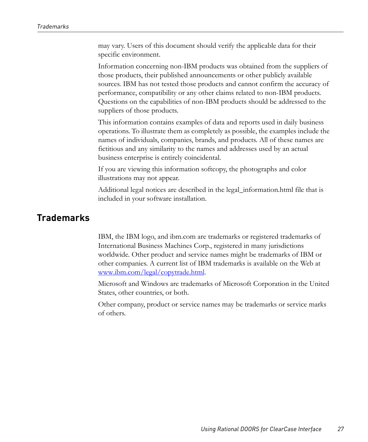may vary. Users of this document should verify the applicable data for their specific environment.

Information concerning non-IBM products was obtained from the suppliers of those products, their published announcements or other publicly available sources. IBM has not tested those products and cannot confirm the accuracy of performance, compatibility or any other claims related to non-IBM products. Questions on the capabilities of non-IBM products should be addressed to the suppliers of those products.

This information contains examples of data and reports used in daily business operations. To illustrate them as completely as possible, the examples include the names of individuals, companies, brands, and products. All of these names are fictitious and any similarity to the names and addresses used by an actual business enterprise is entirely coincidental.

If you are viewing this information softcopy, the photographs and color illustrations may not appear.

Additional legal notices are described in the legal\_information.html file that is included in your software installation.

#### <span id="page-32-0"></span>**Trademarks**

IBM, the IBM logo, and ibm.com are trademarks or registered trademarks of International Business Machines Corp., registered in many jurisdictions worldwide. Other product and service names might be trademarks of IBM or other companies. A current list of IBM trademarks is available on the Web at www.ibm.com/legal/copytrade.html.

Microsoft and Windows are trademarks of Microsoft Corporation in the United States, other countries, or both.

Other company, product or service names may be trademarks or service marks of others.